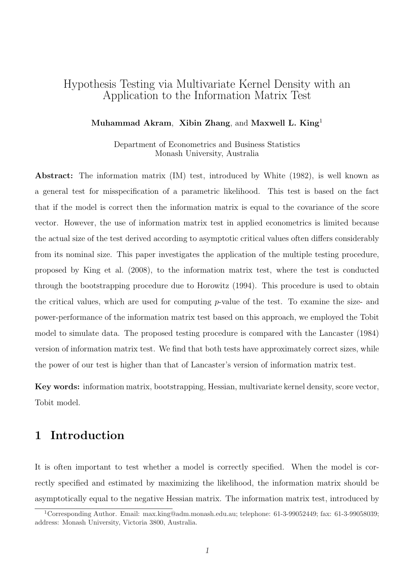# Hypothesis Testing via Multivariate Kernel Density with an Application to the Information Matrix Test

#### Muhammad Akram, Xibin Zhang, and Maxwell L. King<sup>1</sup>

Department of Econometrics and Business Statistics Monash University, Australia

Abstract: The information matrix (IM) test, introduced by White (1982), is well known as a general test for misspecification of a parametric likelihood. This test is based on the fact that if the model is correct then the information matrix is equal to the covariance of the score vector. However, the use of information matrix test in applied econometrics is limited because the actual size of the test derived according to asymptotic critical values often differs considerably from its nominal size. This paper investigates the application of the multiple testing procedure, proposed by King et al. (2008), to the information matrix test, where the test is conducted through the bootstrapping procedure due to Horowitz (1994). This procedure is used to obtain the critical values, which are used for computing  $p$ -value of the test. To examine the size- and power-performance of the information matrix test based on this approach, we employed the Tobit model to simulate data. The proposed testing procedure is compared with the Lancaster (1984) version of information matrix test. We find that both tests have approximately correct sizes, while the power of our test is higher than that of Lancaster's version of information matrix test.

Key words: information matrix, bootstrapping, Hessian, multivariate kernel density, score vector, Tobit model.

# 1 Introduction

It is often important to test whether a model is correctly specified. When the model is correctly specified and estimated by maximizing the likelihood, the information matrix should be asymptotically equal to the negative Hessian matrix. The information matrix test, introduced by

<sup>1</sup>Corresponding Author. Email: max.king@adm.monash.edu.au; telephone: 61-3-99052449; fax: 61-3-99058039; address: Monash University, Victoria 3800, Australia.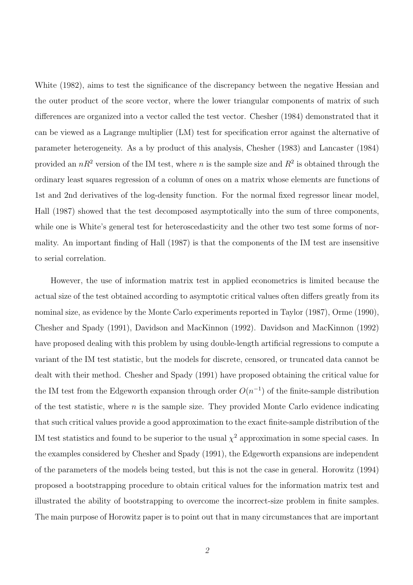White (1982), aims to test the significance of the discrepancy between the negative Hessian and the outer product of the score vector, where the lower triangular components of matrix of such differences are organized into a vector called the test vector. Chesher (1984) demonstrated that it can be viewed as a Lagrange multiplier (LM) test for specification error against the alternative of parameter heterogeneity. As a by product of this analysis, Chesher (1983) and Lancaster (1984) provided an  $nR^2$  version of the IM test, where n is the sample size and  $R^2$  is obtained through the ordinary least squares regression of a column of ones on a matrix whose elements are functions of 1st and 2nd derivatives of the log-density function. For the normal fixed regressor linear model, Hall (1987) showed that the test decomposed asymptotically into the sum of three components, while one is White's general test for heteroscedasticity and the other two test some forms of normality. An important finding of Hall (1987) is that the components of the IM test are insensitive to serial correlation.

However, the use of information matrix test in applied econometrics is limited because the actual size of the test obtained according to asymptotic critical values often differs greatly from its nominal size, as evidence by the Monte Carlo experiments reported in Taylor (1987), Orme (1990), Chesher and Spady (1991), Davidson and MacKinnon (1992). Davidson and MacKinnon (1992) have proposed dealing with this problem by using double-length artificial regressions to compute a variant of the IM test statistic, but the models for discrete, censored, or truncated data cannot be dealt with their method. Chesher and Spady (1991) have proposed obtaining the critical value for the IM test from the Edgeworth expansion through order  $O(n^{-1})$  of the finite-sample distribution of the test statistic, where  $n$  is the sample size. They provided Monte Carlo evidence indicating that such critical values provide a good approximation to the exact finite-sample distribution of the IM test statistics and found to be superior to the usual  $\chi^2$  approximation in some special cases. In the examples considered by Chesher and Spady (1991), the Edgeworth expansions are independent of the parameters of the models being tested, but this is not the case in general. Horowitz (1994) proposed a bootstrapping procedure to obtain critical values for the information matrix test and illustrated the ability of bootstrapping to overcome the incorrect-size problem in finite samples. The main purpose of Horowitz paper is to point out that in many circumstances that are important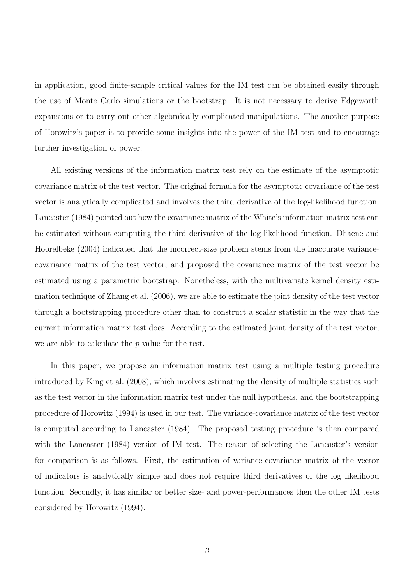in application, good finite-sample critical values for the IM test can be obtained easily through the use of Monte Carlo simulations or the bootstrap. It is not necessary to derive Edgeworth expansions or to carry out other algebraically complicated manipulations. The another purpose of Horowitz's paper is to provide some insights into the power of the IM test and to encourage further investigation of power.

All existing versions of the information matrix test rely on the estimate of the asymptotic covariance matrix of the test vector. The original formula for the asymptotic covariance of the test vector is analytically complicated and involves the third derivative of the log-likelihood function. Lancaster (1984) pointed out how the covariance matrix of the White's information matrix test can be estimated without computing the third derivative of the log-likelihood function. Dhaene and Hoorelbeke (2004) indicated that the incorrect-size problem stems from the inaccurate variancecovariance matrix of the test vector, and proposed the covariance matrix of the test vector be estimated using a parametric bootstrap. Nonetheless, with the multivariate kernel density estimation technique of Zhang et al. (2006), we are able to estimate the joint density of the test vector through a bootstrapping procedure other than to construct a scalar statistic in the way that the current information matrix test does. According to the estimated joint density of the test vector, we are able to calculate the p-value for the test.

In this paper, we propose an information matrix test using a multiple testing procedure introduced by King et al. (2008), which involves estimating the density of multiple statistics such as the test vector in the information matrix test under the null hypothesis, and the bootstrapping procedure of Horowitz (1994) is used in our test. The variance-covariance matrix of the test vector is computed according to Lancaster (1984). The proposed testing procedure is then compared with the Lancaster (1984) version of IM test. The reason of selecting the Lancaster's version for comparison is as follows. First, the estimation of variance-covariance matrix of the vector of indicators is analytically simple and does not require third derivatives of the log likelihood function. Secondly, it has similar or better size- and power-performances then the other IM tests considered by Horowitz (1994).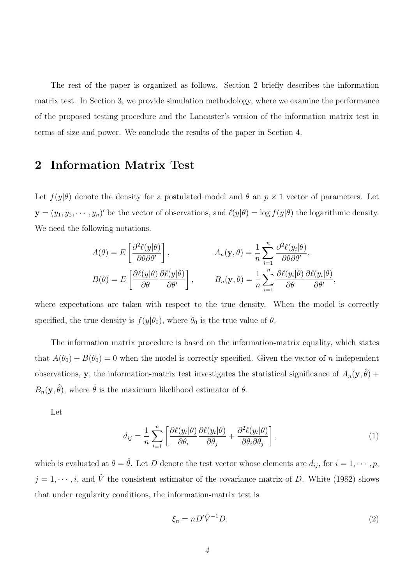The rest of the paper is organized as follows. Section 2 briefly describes the information matrix test. In Section 3, we provide simulation methodology, where we examine the performance of the proposed testing procedure and the Lancaster's version of the information matrix test in terms of size and power. We conclude the results of the paper in Section 4.

# 2 Information Matrix Test

Let  $f(y|\theta)$  denote the density for a postulated model and  $\theta$  an  $p \times 1$  vector of parameters. Let  $\mathbf{y} = (y_1, y_2, \dots, y_n)'$  be the vector of observations, and  $\ell(y|\theta) = \log f(y|\theta)$  the logarithmic density. We need the following notations.

$$
A(\theta) = E\left[\frac{\partial^2 \ell(y|\theta)}{\partial \theta \partial \theta'}\right], \qquad A_n(\mathbf{y}, \theta) = \frac{1}{n} \sum_{i=1}^n \frac{\partial^2 \ell(y_i|\theta)}{\partial \theta \partial \theta'},
$$

$$
B(\theta) = E\left[\frac{\partial \ell(y|\theta)}{\partial \theta} \frac{\partial \ell(y|\theta)}{\partial \theta'}\right], \qquad B_n(\mathbf{y}, \theta) = \frac{1}{n} \sum_{i=1}^n \frac{\partial \ell(y_i|\theta)}{\partial \theta} \frac{\partial \ell(y_i|\theta)}{\partial \theta'},
$$

where expectations are taken with respect to the true density. When the model is correctly specified, the true density is  $f(y|\theta_0)$ , where  $\theta_0$  is the true value of  $\theta$ .

The information matrix procedure is based on the information-matrix equality, which states that  $A(\theta_0) + B(\theta_0) = 0$  when the model is correctly specified. Given the vector of n independent observations, y, the information-matrix test investigates the statistical significance of  $A_n(y, \hat{\theta})$  +  $B_n(\mathbf{y}, \hat{\theta})$ , where  $\hat{\theta}$  is the maximum likelihood estimator of  $\theta$ .

Let

$$
d_{ij} = \frac{1}{n} \sum_{t=1}^{n} \left[ \frac{\partial \ell(y_t|\theta)}{\partial \theta_i} \frac{\partial \ell(y_t|\theta)}{\partial \theta_j} + \frac{\partial^2 \ell(y_t|\theta)}{\partial \theta_i \partial \theta_j} \right],
$$
\n(1)

which is evaluated at  $\theta = \hat{\theta}$ . Let D denote the test vector whose elements are  $d_{ij}$ , for  $i = 1, \dots, p$ ,  $j = 1, \dots, i$ , and  $\hat{V}$  the consistent estimator of the covariance matrix of D. White (1982) shows that under regularity conditions, the information-matrix test is

$$
\xi_n = nD'\hat{V}^{-1}D.\tag{2}
$$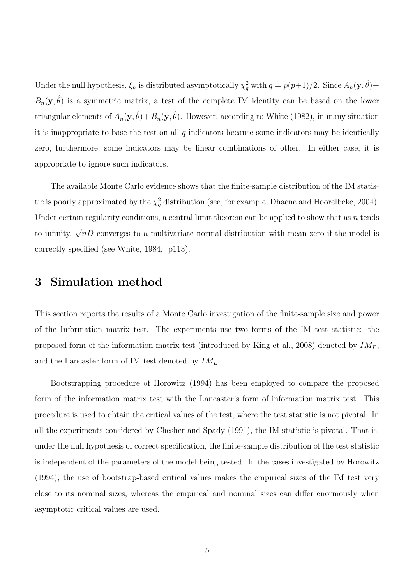Under the null hypothesis,  $\xi_n$  is distributed asymptotically  $\chi_q^2$  with  $q = p(p+1)/2$ . Since  $A_n(\mathbf{y}, \hat{\theta}) +$  $B_n(\mathbf{y},\hat{\theta})$  is a symmetric matrix, a test of the complete IM identity can be based on the lower triangular elements of  $A_n(\mathbf{y}, \hat{\theta}) + B_n(\mathbf{y}, \hat{\theta})$ . However, according to White (1982), in many situation it is inappropriate to base the test on all  $q$  indicators because some indicators may be identically zero, furthermore, some indicators may be linear combinations of other. In either case, it is appropriate to ignore such indicators.

The available Monte Carlo evidence shows that the finite-sample distribution of the IM statistic is poorly approximated by the  $\chi_q^2$  distribution (see, for example, Dhaene and Hoorelbeke, 2004). Under certain regularity conditions, a central limit theorem can be applied to show that as n tends to infinity,  $\sqrt{n}D$  converges to a multivariate normal distribution with mean zero if the model is correctly specified (see White, 1984, p113).

## 3 Simulation method

This section reports the results of a Monte Carlo investigation of the finite-sample size and power of the Information matrix test. The experiments use two forms of the IM test statistic: the proposed form of the information matrix test (introduced by King et al., 2008) denoted by  $IM_P$ , and the Lancaster form of IM test denoted by  $IM_L$ .

Bootstrapping procedure of Horowitz (1994) has been employed to compare the proposed form of the information matrix test with the Lancaster's form of information matrix test. This procedure is used to obtain the critical values of the test, where the test statistic is not pivotal. In all the experiments considered by Chesher and Spady (1991), the IM statistic is pivotal. That is, under the null hypothesis of correct specification, the finite-sample distribution of the test statistic is independent of the parameters of the model being tested. In the cases investigated by Horowitz (1994), the use of bootstrap-based critical values makes the empirical sizes of the IM test very close to its nominal sizes, whereas the empirical and nominal sizes can differ enormously when asymptotic critical values are used.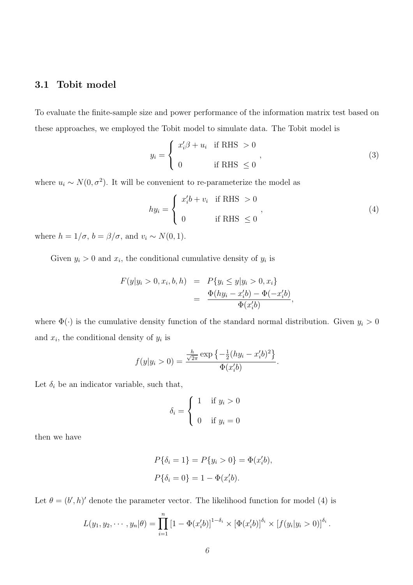#### 3.1 Tobit model

To evaluate the finite-sample size and power performance of the information matrix test based on these approaches, we employed the Tobit model to simulate data. The Tobit model is

$$
y_i = \begin{cases} x_i' \beta + u_i & \text{if RHS} > 0 \\ 0 & \text{if RHS} \le 0 \end{cases}
$$
 (3)

where  $u_i \sim N(0, \sigma^2)$ . It will be convenient to re-parameterize the model as

$$
hy_i = \begin{cases} x_i'b + v_i & \text{if RHS} > 0 \\ 0 & \text{if RHS} \le 0 \end{cases},
$$
\n(4)

where  $h = 1/\sigma$ ,  $b = \beta/\sigma$ , and  $v_i \sim N(0, 1)$ .

Given  $y_i > 0$  and  $x_i$ , the conditional cumulative density of  $y_i$  is

$$
F(y|y_i > 0, x_i, b, h) = P\{y_i \le y|y_i > 0, x_i\}
$$
  
= 
$$
\frac{\Phi(hy_i - x'_i b) - \Phi(-x'_i b)}{\Phi(x'_i b)},
$$

where  $\Phi(\cdot)$  is the cumulative density function of the standard normal distribution. Given  $y_i > 0$ and  $x_i$ , the conditional density of  $y_i$  is

$$
f(y|y_i > 0) = \frac{\frac{h}{\sqrt{2\pi}} \exp\left\{-\frac{1}{2}(hy_i - x_i'b)^2\right\}}{\Phi(x_i'b)}.
$$

Let  $\delta_i$  be an indicator variable, such that,

$$
\delta_i = \begin{cases} 1 & \text{if } y_i > 0 \\ 0 & \text{if } y_i = 0 \end{cases}
$$

then we have

$$
P\{\delta_i = 1\} = P\{y_i > 0\} = \Phi(x_i'b),
$$
  

$$
P\{\delta_i = 0\} = 1 - \Phi(x_i'b).
$$

Let  $\theta = (b', h)'$  denote the parameter vector. The likelihood function for model (4) is

$$
L(y_1, y_2, \cdots, y_n | \theta) = \prod_{i=1}^n \left[1 - \Phi(x_i' b)\right]^{1 - \delta_i} \times \left[\Phi(x_i' b)\right]^{\delta_i} \times \left[f(y_i | y_i > 0)\right]^{\delta_i}.
$$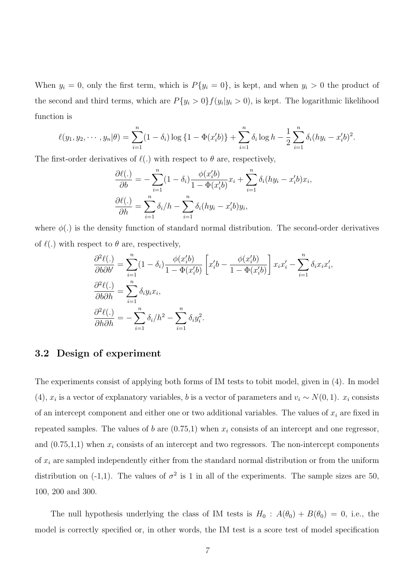When  $y_i = 0$ , only the first term, which is  $P\{y_i = 0\}$ , is kept, and when  $y_i > 0$  the product of the second and third terms, which are  $P\{y_i > 0\} f(y_i | y_i > 0)$ , is kept. The logarithmic likelihood function is

$$
\ell(y_1, y_2, \cdots, y_n | \theta) = \sum_{i=1}^n (1 - \delta_i) \log \{1 - \Phi(x_i' b)\} + \sum_{i=1}^n \delta_i \log h - \frac{1}{2} \sum_{i=1}^n \delta_i (hy_i - x_i' b)^2.
$$

The first-order derivatives of  $\ell(.)$  with respect to  $\theta$  are, respectively,

$$
\frac{\partial \ell(.)}{\partial b} = -\sum_{i=1}^{n} (1 - \delta_i) \frac{\phi(x_i'b)}{1 - \Phi(x_i'b)} x_i + \sum_{i=1}^{n} \delta_i (hy_i - x_i'b) x_i,
$$

$$
\frac{\partial \ell(.)}{\partial h} = \sum_{i=1}^{n} \delta_i / h - \sum_{i=1}^{n} \delta_i (hy_i - x_i'b) y_i,
$$

where  $\phi(.)$  is the density function of standard normal distribution. The second-order derivatives of  $\ell(.)$  with respect to  $\theta$  are, respectively,

$$
\frac{\partial^2 \ell(.)}{\partial b \partial b'} = \sum_{i=1}^n (1 - \delta_i) \frac{\phi(x_i' b)}{1 - \Phi(x_i' b)} \left[ x_i' b - \frac{\phi(x_i' b)}{1 - \Phi(x_i' b)} \right] x_i x_i' - \sum_{i=1}^n \delta_i x_i x_i',
$$
  

$$
\frac{\partial^2 \ell(.)}{\partial b \partial h} = \sum_{i=1}^n \delta_i y_i x_i,
$$
  

$$
\frac{\partial^2 \ell(.)}{\partial h \partial h} = -\sum_{i=1}^n \delta_i / h^2 - \sum_{i=1}^n \delta_i y_i^2.
$$

### 3.2 Design of experiment

The experiments consist of applying both forms of IM tests to tobit model, given in (4). In model (4),  $x_i$  is a vector of explanatory variables, b is a vector of parameters and  $v_i \sim N(0, 1)$ .  $x_i$  consists of an intercept component and either one or two additional variables. The values of  $x_i$  are fixed in repeated samples. The values of b are  $(0.75,1)$  when  $x_i$  consists of an intercept and one regressor, and  $(0.75,1,1)$  when  $x_i$  consists of an intercept and two regressors. The non-intercept components of  $x_i$  are sampled independently either from the standard normal distribution or from the uniform distribution on (-1,1). The values of  $\sigma^2$  is 1 in all of the experiments. The sample sizes are 50, 100, 200 and 300.

The null hypothesis underlying the class of IM tests is  $H_0$ :  $A(\theta_0) + B(\theta_0) = 0$ , i.e., the model is correctly specified or, in other words, the IM test is a score test of model specification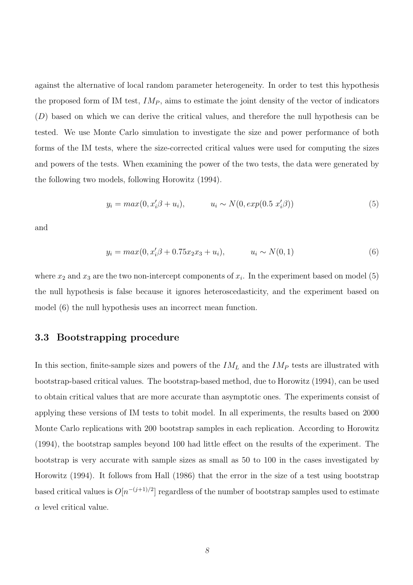against the alternative of local random parameter heterogeneity. In order to test this hypothesis the proposed form of IM test,  $IM_P$ , aims to estimate the joint density of the vector of indicators  $(D)$  based on which we can derive the critical values, and therefore the null hypothesis can be tested. We use Monte Carlo simulation to investigate the size and power performance of both forms of the IM tests, where the size-corrected critical values were used for computing the sizes and powers of the tests. When examining the power of the two tests, the data were generated by the following two models, following Horowitz (1994).

$$
y_i = max(0, x_i'\beta + u_i), \qquad u_i \sim N(0, exp(0.5 \ x_i'\beta))
$$
\n(5)

and

$$
y_i = max(0, x_i'\beta + 0.75x_2x_3 + u_i), \qquad u_i \sim N(0, 1)
$$
 (6)

where  $x_2$  and  $x_3$  are the two non-intercept components of  $x_i$ . In the experiment based on model (5) the null hypothesis is false because it ignores heteroscedasticity, and the experiment based on model (6) the null hypothesis uses an incorrect mean function.

### 3.3 Bootstrapping procedure

In this section, finite-sample sizes and powers of the  $IM_L$  and the  $IM_P$  tests are illustrated with bootstrap-based critical values. The bootstrap-based method, due to Horowitz (1994), can be used to obtain critical values that are more accurate than asymptotic ones. The experiments consist of applying these versions of IM tests to tobit model. In all experiments, the results based on 2000 Monte Carlo replications with 200 bootstrap samples in each replication. According to Horowitz (1994), the bootstrap samples beyond 100 had little effect on the results of the experiment. The bootstrap is very accurate with sample sizes as small as 50 to 100 in the cases investigated by Horowitz (1994). It follows from Hall (1986) that the error in the size of a test using bootstrap based critical values is  $O[n^{-(j+1)/2}]$  regardless of the number of bootstrap samples used to estimate  $\alpha$  level critical value.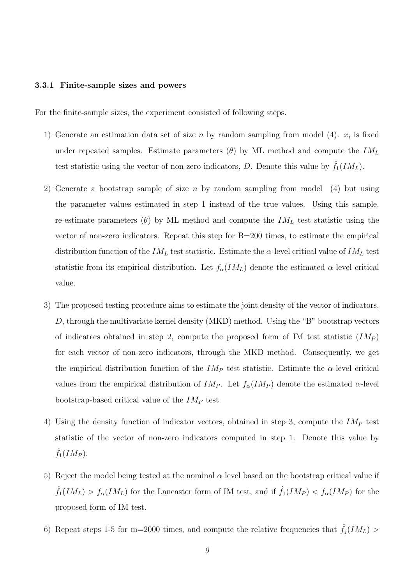#### 3.3.1 Finite-sample sizes and powers

For the finite-sample sizes, the experiment consisted of following steps.

- 1) Generate an estimation data set of size n by random sampling from model (4).  $x_i$  is fixed under repeated samples. Estimate parameters  $(\theta)$  by ML method and compute the  $IM_L$ test statistic using the vector of non-zero indicators, D. Denote this value by  $\hat{f}_1(IM_L)$ .
- 2) Generate a bootstrap sample of size n by random sampling from model (4) but using the parameter values estimated in step 1 instead of the true values. Using this sample, re-estimate parameters ( $\theta$ ) by ML method and compute the  $IM_L$  test statistic using the vector of non-zero indicators. Repeat this step for B=200 times, to estimate the empirical distribution function of the  $IM_L$  test statistic. Estimate the  $\alpha$ -level critical value of  $IM_L$  test statistic from its empirical distribution. Let  $f_{\alpha}(IM_L)$  denote the estimated  $\alpha$ -level critical value.
- 3) The proposed testing procedure aims to estimate the joint density of the vector of indicators, D, through the multivariate kernel density (MKD) method. Using the "B" bootstrap vectors of indicators obtained in step 2, compute the proposed form of IM test statistic  $(IM_P)$ for each vector of non-zero indicators, through the MKD method. Consequently, we get the empirical distribution function of the  $IM_P$  test statistic. Estimate the  $\alpha$ -level critical values from the empirical distribution of  $IM_P$ . Let  $f_{\alpha}(IM_P)$  denote the estimated  $\alpha$ -level bootstrap-based critical value of the  $IM_P$  test.
- 4) Using the density function of indicator vectors, obtained in step 3, compute the  $IM_P$  test statistic of the vector of non-zero indicators computed in step 1. Denote this value by  $\hat{f}_1(IM_P)$ .
- 5) Reject the model being tested at the nominal  $\alpha$  level based on the bootstrap critical value if  $\hat{f}_1(IM_L) > f_\alpha(IM_L)$  for the Lancaster form of IM test, and if  $\hat{f}_1(IM_P) < f_\alpha(IM_P)$  for the proposed form of IM test.
- 6) Repeat steps 1-5 for m=2000 times, and compute the relative frequencies that  $\hat{f}_j(IM_L)$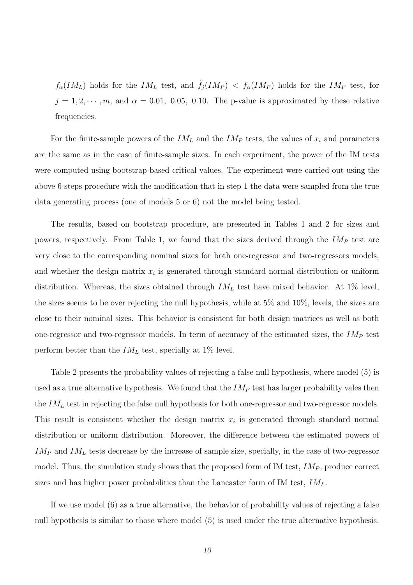$f_{\alpha}(IM_L)$  holds for the  $IM_L$  test, and  $\hat{f}_j(IM_P) < f_{\alpha}(IM_P)$  holds for the  $IM_P$  test, for  $j = 1, 2, \dots, m$ , and  $\alpha = 0.01, 0.05, 0.10$ . The p-value is approximated by these relative frequencies.

For the finite-sample powers of the  $IM<sub>L</sub>$  and the  $IM<sub>P</sub>$  tests, the values of  $x<sub>i</sub>$  and parameters are the same as in the case of finite-sample sizes. In each experiment, the power of the IM tests were computed using bootstrap-based critical values. The experiment were carried out using the above 6-steps procedure with the modification that in step 1 the data were sampled from the true data generating process (one of models 5 or 6) not the model being tested.

The results, based on bootstrap procedure, are presented in Tables 1 and 2 for sizes and powers, respectively. From Table 1, we found that the sizes derived through the  $IM_P$  test are very close to the corresponding nominal sizes for both one-regressor and two-regressors models, and whether the design matrix  $x_i$  is generated through standard normal distribution or uniform distribution. Whereas, the sizes obtained through  $IM_L$  test have mixed behavior. At 1% level, the sizes seems to be over rejecting the null hypothesis, while at 5% and 10%, levels, the sizes are close to their nominal sizes. This behavior is consistent for both design matrices as well as both one-regressor and two-regressor models. In term of accuracy of the estimated sizes, the  $IM_P$  test perform better than the  $IM_L$  test, specially at 1% level.

Table 2 presents the probability values of rejecting a false null hypothesis, where model (5) is used as a true alternative hypothesis. We found that the  $IM_P$  test has larger probability vales then the  $IM_L$  test in rejecting the false null hypothesis for both one-regressor and two-regressor models. This result is consistent whether the design matrix  $x_i$  is generated through standard normal distribution or uniform distribution. Moreover, the difference between the estimated powers of  $IM_P$  and  $IM_L$  tests decrease by the increase of sample size, specially, in the case of two-regressor model. Thus, the simulation study shows that the proposed form of IM test,  $IM_P$ , produce correct sizes and has higher power probabilities than the Lancaster form of IM test,  $IM_L$ .

If we use model (6) as a true alternative, the behavior of probability values of rejecting a false null hypothesis is similar to those where model (5) is used under the true alternative hypothesis.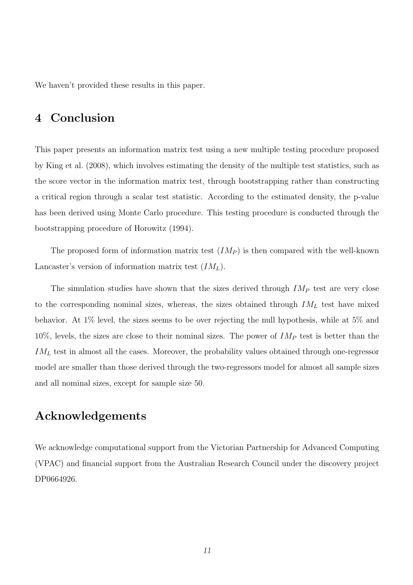We haven't provided these results in this paper.

# 4 Conclusion

This paper presents an information matrix test using a new multiple testing procedure proposed by King et al. (2008), which involves estimating the density of the multiple test statistics, such as the score vector in the information matrix test, through bootstrapping rather than constructing a critical region through a scalar test statistic. According to the estimated density, the p-value has been derived using Monte Carlo procedure. This testing procedure is conducted through the bootstrapping procedure of Horowitz (1994).

The proposed form of information matrix test  $(IM_P)$  is then compared with the well-known Lancaster's version of information matrix test  $(IM<sub>L</sub>)$ .

The simulation studies have shown that the sizes derived through  $IM_P$  test are very close to the corresponding nominal sizes, whereas, the sizes obtained through  $IM_L$  test have mixed behavior. At 1% level, the sizes seems to be over rejecting the null hypothesis, while at 5% and  $10\%$ , levels, the sizes are close to their nominal sizes. The power of  $IM_P$  test is better than the  $IM_L$  test in almost all the cases. Moreover, the probability values obtained through one-regressor model are smaller than those derived through the two-regressors model for almost all sample sizes and all nominal sizes, except for sample size 50.

# Acknowledgements

We acknowledge computational support from the Victorian Partnership for Advanced Computing (VPAC) and financial support from the Australian Research Council under the discovery project DP0664926.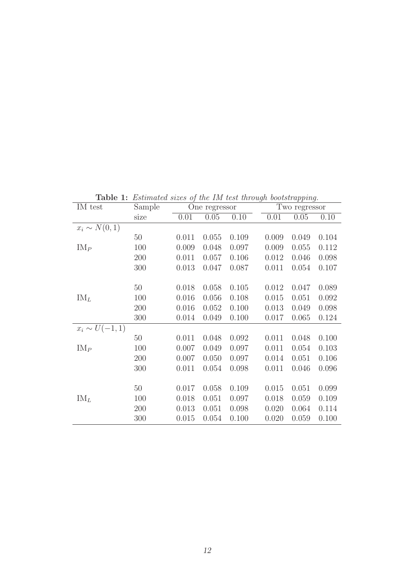Table 1: Estimated sizes of the IM test through bootstrapping.

| IM test            | Sample | One regressor |       |       |       | 1 L<br>Two regressor |           |  |
|--------------------|--------|---------------|-------|-------|-------|----------------------|-----------|--|
|                    | size   | 0.01          | 0.05  | 0.10  | 0.01  | 0.05                 | 0.10      |  |
| $x_i \sim N(0,1)$  |        |               |       |       |       |                      |           |  |
|                    | 50     | 0.011         | 0.055 | 0.109 | 0.009 | 0.049                | 0.104     |  |
| $IM_{P}$           | 100    | 0.009         | 0.048 | 0.097 | 0.009 | 0.055                | 0.112     |  |
|                    | 200    | 0.011         | 0.057 | 0.106 | 0.012 | 0.046                | 0.098     |  |
|                    | 300    | 0.013         | 0.047 | 0.087 | 0.011 | 0.054                | 0.107     |  |
|                    |        |               |       |       |       |                      |           |  |
|                    | 50     | 0.018         | 0.058 | 0.105 | 0.012 | 0.047                | 0.089     |  |
| $IM_L$             | 100    | 0.016         | 0.056 | 0.108 | 0.015 | 0.051                | 0.092     |  |
|                    | 200    | 0.016         | 0.052 | 0.100 | 0.013 | 0.049                | 0.098     |  |
|                    | 300    | 0.014         | 0.049 | 0.100 | 0.017 | 0.065                | 0.124     |  |
| $x_i \sim U(-1,1)$ |        |               |       |       |       |                      |           |  |
|                    | 50     | 0.011         | 0.048 | 0.092 | 0.011 | 0.048                | $0.100\,$ |  |
| $IM_P$             | 100    | 0.007         | 0.049 | 0.097 | 0.011 | 0.054                | 0.103     |  |
|                    | 200    | 0.007         | 0.050 | 0.097 | 0.014 | 0.051                | 0.106     |  |
|                    | 300    | 0.011         | 0.054 | 0.098 | 0.011 | 0.046                | 0.096     |  |
|                    |        |               |       |       |       |                      |           |  |
|                    | $50\,$ | 0.017         | 0.058 | 0.109 | 0.015 | 0.051                | 0.099     |  |
| $IM_L$             | 100    | 0.018         | 0.051 | 0.097 | 0.018 | 0.059                | 0.109     |  |
|                    | 200    | 0.013         | 0.051 | 0.098 | 0.020 | 0.064                | 0.114     |  |
|                    | 300    | 0.015         | 0.054 | 0.100 | 0.020 | 0.059                | 0.100     |  |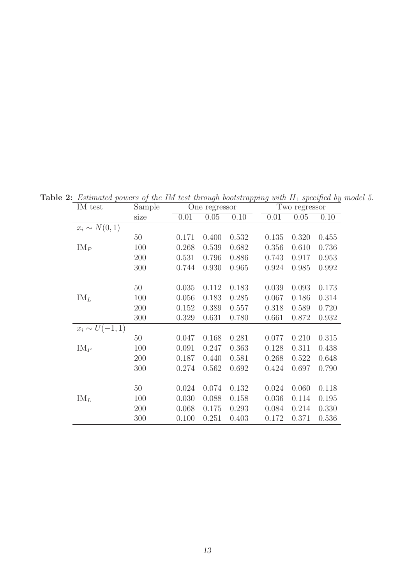Table 2: Estimated powers of the IM test through bootstrapping with  $H_1$  specified by model 5.

| IM test            | Sample | One regressor |       |       | Two regressor |       |       |
|--------------------|--------|---------------|-------|-------|---------------|-------|-------|
|                    | size   | 0.01          | 0.05  | 0.10  | 0.01          | 0.05  | 0.10  |
| $x_i \sim N(0,1)$  |        |               |       |       |               |       |       |
|                    | 50     | 0.171         | 0.400 | 0.532 | 0.135         | 0.320 | 0.455 |
| $IM_P$             | 100    | 0.268         | 0.539 | 0.682 | 0.356         | 0.610 | 0.736 |
|                    | 200    | 0.531         | 0.796 | 0.886 | 0.743         | 0.917 | 0.953 |
|                    | 300    | 0.744         | 0.930 | 0.965 | 0.924         | 0.985 | 0.992 |
|                    |        |               |       |       |               |       |       |
|                    | 50     | 0.035         | 0.112 | 0.183 | 0.039         | 0.093 | 0.173 |
| $IM_L$             | 100    | 0.056         | 0.183 | 0.285 | 0.067         | 0.186 | 0.314 |
|                    | 200    | 0.152         | 0.389 | 0.557 | 0.318         | 0.589 | 0.720 |
|                    | 300    | 0.329         | 0.631 | 0.780 | 0.661         | 0.872 | 0.932 |
| $x_i \sim U(-1,1)$ |        |               |       |       |               |       |       |
|                    | 50     | 0.047         | 0.168 | 0.281 | 0.077         | 0.210 | 0.315 |
| $IM_P$             | 100    | 0.091         | 0.247 | 0.363 | 0.128         | 0.311 | 0.438 |
|                    | 200    | 0.187         | 0.440 | 0.581 | 0.268         | 0.522 | 0.648 |
|                    | 300    | 0.274         | 0.562 | 0.692 | 0.424         | 0.697 | 0.790 |
|                    |        |               |       |       |               |       |       |
|                    | 50     | 0.024         | 0.074 | 0.132 | 0.024         | 0.060 | 0.118 |
| $IM_L$             | 100    | 0.030         | 0.088 | 0.158 | 0.036         | 0.114 | 0.195 |
|                    | 200    | 0.068         | 0.175 | 0.293 | 0.084         | 0.214 | 0.330 |
|                    | 300    | 0.100         | 0.251 | 0.403 | 0.172         | 0.371 | 0.536 |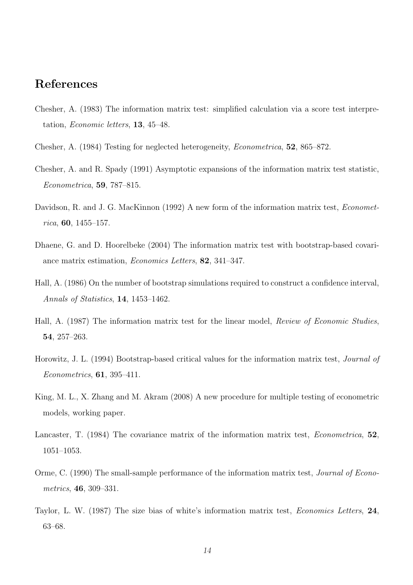# References

- Chesher, A. (1983) The information matrix test: simplified calculation via a score test interpretation, Economic letters, 13, 45–48.
- Chesher, A. (1984) Testing for neglected heterogeneity, Econometrica, 52, 865–872.
- Chesher, A. and R. Spady (1991) Asymptotic expansions of the information matrix test statistic, Econometrica, 59, 787–815.
- Davidson, R. and J. G. MacKinnon (1992) A new form of the information matrix test, *Economet* $rica, 60, 1455 - 157.$
- Dhaene, G. and D. Hoorelbeke (2004) The information matrix test with bootstrap-based covariance matrix estimation, Economics Letters, 82, 341–347.
- Hall, A. (1986) On the number of bootstrap simulations required to construct a confidence interval, Annals of Statistics, 14, 1453–1462.
- Hall, A. (1987) The information matrix test for the linear model, Review of Economic Studies, 54, 257–263.
- Horowitz, J. L. (1994) Bootstrap-based critical values for the information matrix test, Journal of Econometrics, 61, 395–411.
- King, M. L., X. Zhang and M. Akram (2008) A new procedure for multiple testing of econometric models, working paper.
- Lancaster, T. (1984) The covariance matrix of the information matrix test, *Econometrica*, 52, 1051–1053.
- Orme, C. (1990) The small-sample performance of the information matrix test, Journal of Econometrics, 46, 309–331.
- Taylor, L. W. (1987) The size bias of white's information matrix test, Economics Letters, 24, 63–68.